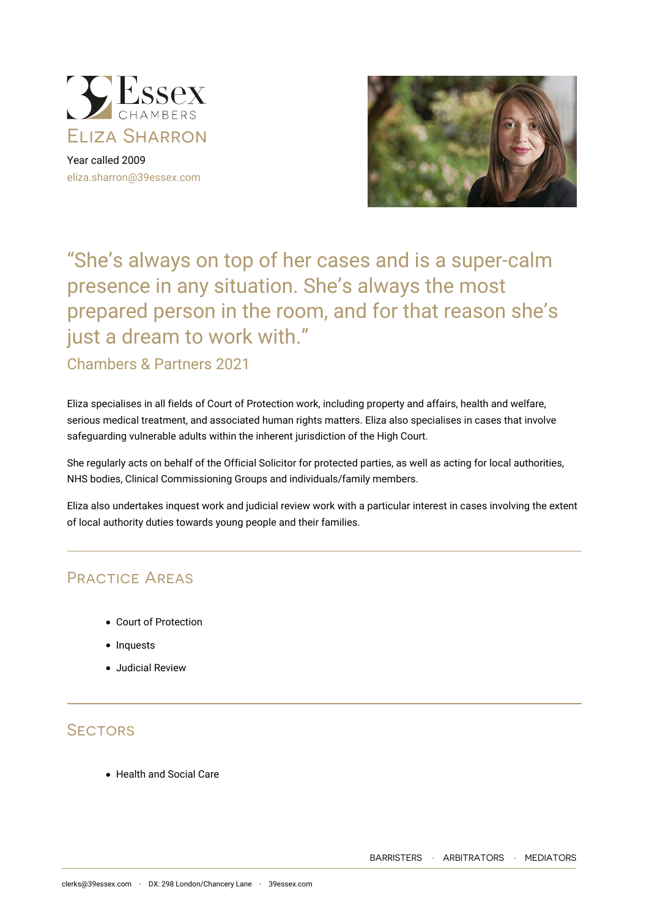

Year called 2009 [eliza.sharron@39essex.com](mailto:eliza.sharron@39essex.com)



# "She's always on top of her cases and is a super-calm presence in any situation. She's always the most prepared person in the room, and for that reason she's just a dream to work with."

# Chambers & Partners 2021

Eliza specialises in all fields of Court of Protection work, including property and affairs, health and welfare, serious medical treatment, and associated human rights matters. Eliza also specialises in cases that involve safeguarding vulnerable adults within the inherent jurisdiction of the High Court.

She regularly acts on behalf of the Official Solicitor for protected parties, as well as acting for local authorities, NHS bodies, Clinical Commissioning Groups and individuals/family members.

Eliza also undertakes inquest work and judicial review work with a particular interest in cases involving the extent of local authority duties towards young people and their families.

# Practice Areas

- Court of Protection
- Inquests
- Judicial Review

# **SECTORS**

Health and Social Care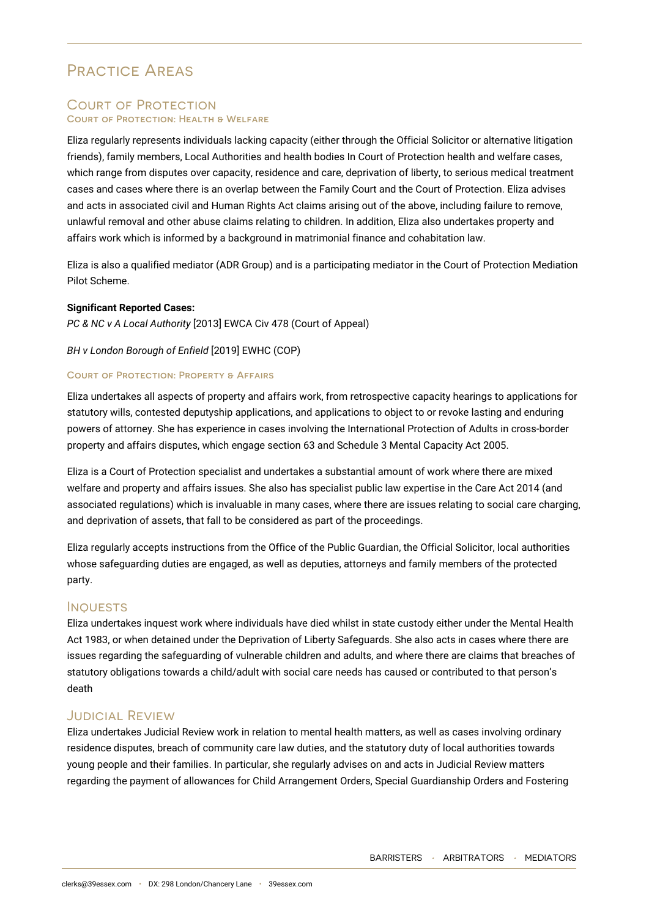# Practice Areas

### Court of Protection **Court of Protection: Health & Welfare**

Eliza regularly represents individuals lacking capacity (either through the Official Solicitor or alternative litigation friends), family members, Local Authorities and health bodies In Court of Protection health and welfare cases, which range from disputes over capacity, residence and care, deprivation of liberty, to serious medical treatment cases and cases where there is an overlap between the Family Court and the Court of Protection. Eliza advises and acts in associated civil and Human Rights Act claims arising out of the above, including failure to remove, unlawful removal and other abuse claims relating to children. In addition, Eliza also undertakes property and affairs work which is informed by a background in matrimonial finance and cohabitation law.

Eliza is also a qualified mediator (ADR Group) and is a participating mediator in the Court of Protection Mediation Pilot Scheme.

#### **Significant Reported Cases:**

*PC & NC v A Local Authority* [2013] EWCA Civ 478 (Court of Appeal)

#### *BH v London Borough of Enfield* [2019] EWHC (COP)

#### **Court of Protection: Property & Affairs**

Eliza undertakes all aspects of property and affairs work, from retrospective capacity hearings to applications for statutory wills, contested deputyship applications, and applications to object to or revoke lasting and enduring powers of attorney. She has experience in cases involving the International Protection of Adults in cross-border property and affairs disputes, which engage section 63 and Schedule 3 Mental Capacity Act 2005.

Eliza is a Court of Protection specialist and undertakes a substantial amount of work where there are mixed welfare and property and affairs issues. She also has specialist public law expertise in the Care Act 2014 (and associated regulations) which is invaluable in many cases, where there are issues relating to social care charging, and deprivation of assets, that fall to be considered as part of the proceedings.

Eliza regularly accepts instructions from the Office of the Public Guardian, the Official Solicitor, local authorities whose safeguarding duties are engaged, as well as deputies, attorneys and family members of the protected party.

#### **INQUESTS**

Eliza undertakes inquest work where individuals have died whilst in state custody either under the Mental Health Act 1983, or when detained under the Deprivation of Liberty Safeguards. She also acts in cases where there are issues regarding the safeguarding of vulnerable children and adults, and where there are claims that breaches of statutory obligations towards a child/adult with social care needs has caused or contributed to that person's death

#### Judicial Review

Eliza undertakes Judicial Review work in relation to mental health matters, as well as cases involving ordinary residence disputes, breach of community care law duties, and the statutory duty of local authorities towards young people and their families. In particular, she regularly advises on and acts in Judicial Review matters regarding the payment of allowances for Child Arrangement Orders, Special Guardianship Orders and Fostering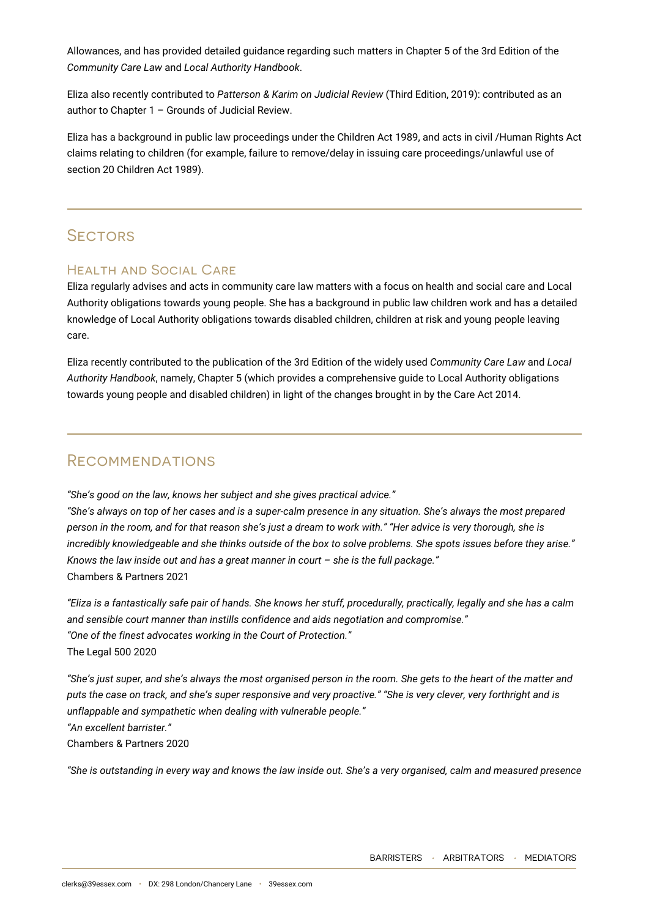Allowances, and has provided detailed guidance regarding such matters in Chapter 5 of the 3rd Edition of the *Community Care Law* and *Local Authority Handbook*.

Eliza also recently contributed to *Patterson & Karim on Judicial Review* (Third Edition, 2019): contributed as an author to Chapter 1 – Grounds of Judicial Review.

Eliza has a background in public law proceedings under the Children Act 1989, and acts in civil /Human Rights Act claims relating to children (for example, failure to remove/delay in issuing care proceedings/unlawful use of section 20 Children Act 1989).

# **SECTORS**

### Health and Social Care

Eliza regularly advises and acts in community care law matters with a focus on health and social care and Local Authority obligations towards young people. She has a background in public law children work and has a detailed knowledge of Local Authority obligations towards disabled children, children at risk and young people leaving care.

Eliza recently contributed to the publication of the 3rd Edition of the widely used *Community Care Law* and *Local Authority Handbook*, namely, Chapter 5 (which provides a comprehensive guide to Local Authority obligations towards young people and disabled children) in light of the changes brought in by the Care Act 2014.

# **RECOMMENDATIONS**

*"She's good on the law, knows her subject and she gives practical advice."*

*"She's always on top of her cases and is a super-calm presence in any situation. She's always the most prepared person in the room, and for that reason she's just a dream to work with." "Her advice is very thorough, she is incredibly knowledgeable and she thinks outside of the box to solve problems. She spots issues before they arise." Knows the law inside out and has a great manner in court – she is the full package."* Chambers & Partners 2021

*"Eliza is a fantastically safe pair of hands. She knows her stuff, procedurally, practically, legally and she has a calm and sensible court manner than instills confidence and aids negotiation and compromise." "One of the finest advocates working in the Court of Protection."* The Legal 500 2020

*"She's just super, and she's always the most organised person in the room. She gets to the heart of the matter and puts the case on track, and she's super responsive and very proactive." "She is very clever, very forthright and is unflappable and sympathetic when dealing with vulnerable people." "An excellent barrister."* Chambers & Partners 2020

*"She is outstanding in every way and knows the law inside out. She's a very organised, calm and measured presence*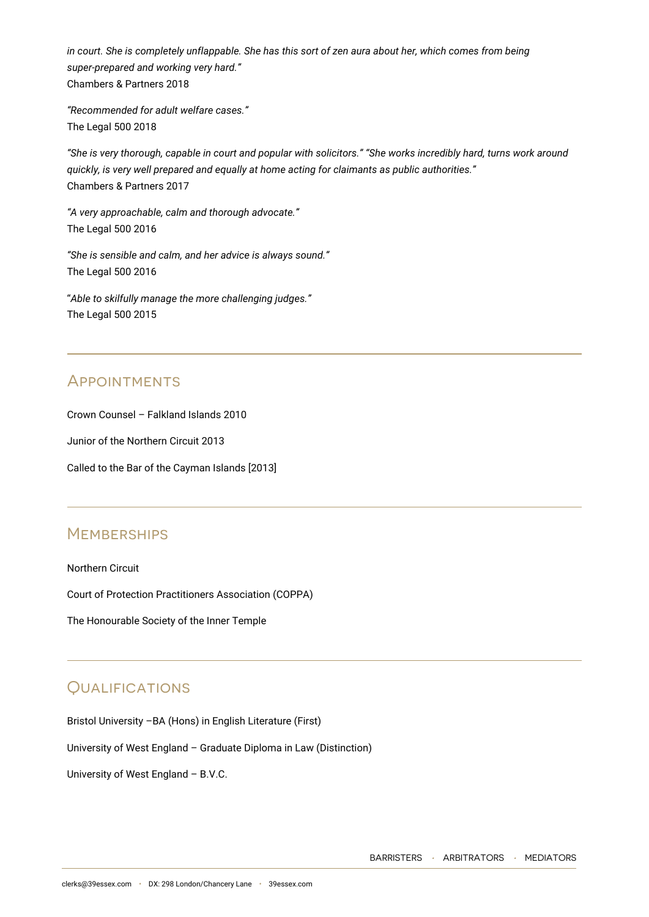*in court. She is completely unflappable. She has this sort of zen aura about her, which comes from being super-prepared and working very hard."* Chambers & Partners 2018

*"Recommended for adult welfare cases."* The Legal 500 2018

*"She is very thorough, capable in court and popular with solicitors." "She works incredibly hard, turns work around quickly, is very well prepared and equally at home acting for claimants as public authorities."* Chambers & Partners 2017

*"A very approachable, calm and thorough advocate."* The Legal 500 2016

*"She is sensible and calm, and her advice is always sound."* The Legal 500 2016

"*Able to skilfully manage the more challenging judges."* The Legal 500 2015

# **APPOINTMENTS**

Crown Counsel – Falkland Islands 2010

Junior of the Northern Circuit 2013

Called to the Bar of the Cayman Islands [2013]

# **MEMBERSHIPS**

Northern Circuit

Court of Protection Practitioners Association (COPPA)

The Honourable Society of the Inner Temple

# **OUALIFICATIONS**

Bristol University –BA (Hons) in English Literature (First)

University of West England – Graduate Diploma in Law (Distinction)

University of West England – B.V.C.